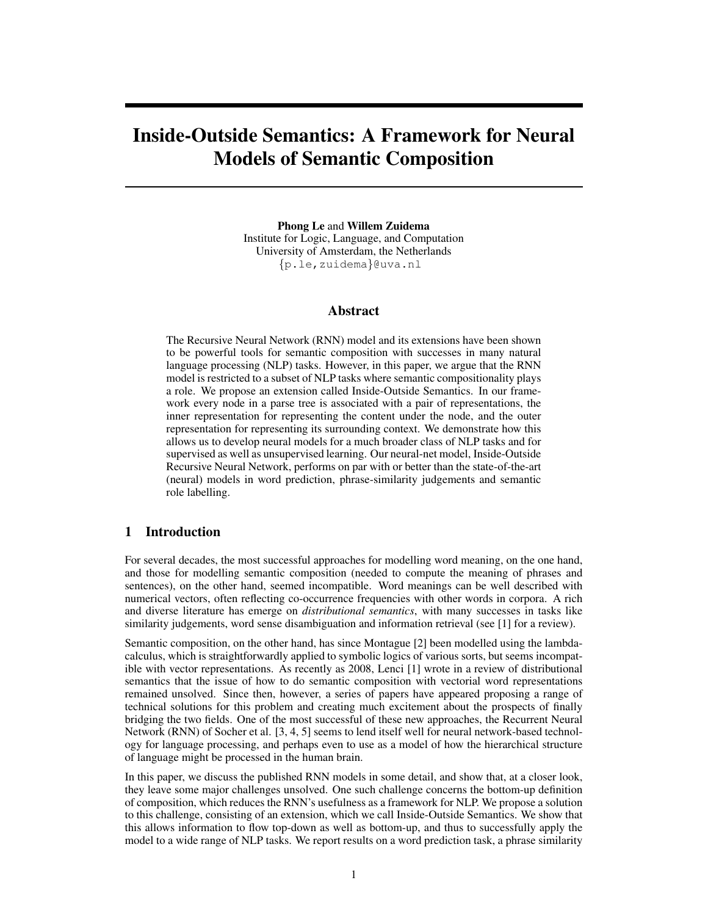# Inside-Outside Semantics: A Framework for Neural Models of Semantic Composition

Phong Le and Willem Zuidema Institute for Logic, Language, and Computation University of Amsterdam, the Netherlands {p.le,zuidema}@uva.nl

## Abstract

The Recursive Neural Network (RNN) model and its extensions have been shown to be powerful tools for semantic composition with successes in many natural language processing (NLP) tasks. However, in this paper, we argue that the RNN model is restricted to a subset of NLP tasks where semantic compositionality plays a role. We propose an extension called Inside-Outside Semantics. In our framework every node in a parse tree is associated with a pair of representations, the inner representation for representing the content under the node, and the outer representation for representing its surrounding context. We demonstrate how this allows us to develop neural models for a much broader class of NLP tasks and for supervised as well as unsupervised learning. Our neural-net model, Inside-Outside Recursive Neural Network, performs on par with or better than the state-of-the-art (neural) models in word prediction, phrase-similarity judgements and semantic role labelling.

# 1 Introduction

For several decades, the most successful approaches for modelling word meaning, on the one hand, and those for modelling semantic composition (needed to compute the meaning of phrases and sentences), on the other hand, seemed incompatible. Word meanings can be well described with numerical vectors, often reflecting co-occurrence frequencies with other words in corpora. A rich and diverse literature has emerge on *distributional semantics*, with many successes in tasks like similarity judgements, word sense disambiguation and information retrieval (see [1] for a review).

Semantic composition, on the other hand, has since Montague [2] been modelled using the lambdacalculus, which is straightforwardly applied to symbolic logics of various sorts, but seems incompatible with vector representations. As recently as 2008, Lenci [1] wrote in a review of distributional semantics that the issue of how to do semantic composition with vectorial word representations remained unsolved. Since then, however, a series of papers have appeared proposing a range of technical solutions for this problem and creating much excitement about the prospects of finally bridging the two fields. One of the most successful of these new approaches, the Recurrent Neural Network (RNN) of Socher et al. [3, 4, 5] seems to lend itself well for neural network-based technology for language processing, and perhaps even to use as a model of how the hierarchical structure of language might be processed in the human brain.

In this paper, we discuss the published RNN models in some detail, and show that, at a closer look, they leave some major challenges unsolved. One such challenge concerns the bottom-up definition of composition, which reduces the RNN's usefulness as a framework for NLP. We propose a solution to this challenge, consisting of an extension, which we call Inside-Outside Semantics. We show that this allows information to flow top-down as well as bottom-up, and thus to successfully apply the model to a wide range of NLP tasks. We report results on a word prediction task, a phrase similarity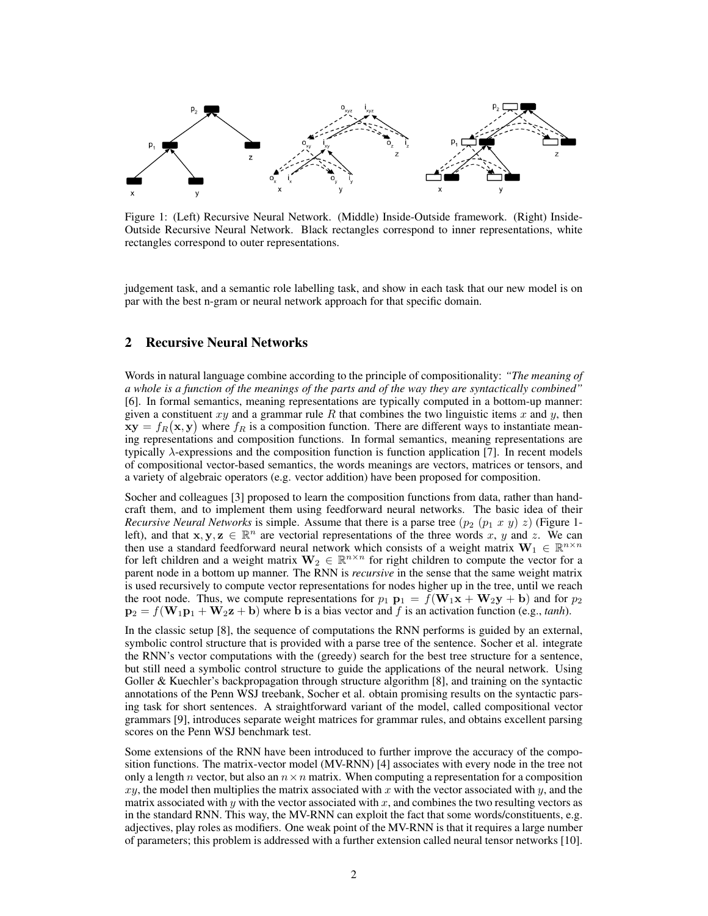

Figure 1: (Left) Recursive Neural Network. (Middle) Inside-Outside framework. (Right) Inside-Outside Recursive Neural Network. Black rectangles correspond to inner representations, white rectangles correspond to outer representations.

judgement task, and a semantic role labelling task, and show in each task that our new model is on par with the best n-gram or neural network approach for that specific domain.

# 2 Recursive Neural Networks

Words in natural language combine according to the principle of compositionality: *"The meaning of a whole is a function of the meanings of the parts and of the way they are syntactically combined"* [6]. In formal semantics, meaning representations are typically computed in a bottom-up manner: given a constituent  $xy$  and a grammar rule R that combines the two linguistic items x and y, then  $xy = f_R(x, y)$  where  $f_R$  is a composition function. There are different ways to instantiate meaning representations and composition functions. In formal semantics, meaning representations are typically λ-expressions and the composition function is function application [7]. In recent models of compositional vector-based semantics, the words meanings are vectors, matrices or tensors, and a variety of algebraic operators (e.g. vector addition) have been proposed for composition.

Socher and colleagues [3] proposed to learn the composition functions from data, rather than handcraft them, and to implement them using feedforward neural networks. The basic idea of their *Recursive Neural Networks* is simple. Assume that there is a parse tree  $(p_2 (p_1 x y) z)$  (Figure 1left), and that  $x, y, z \in \mathbb{R}^n$  are vectorial representations of the three words x, y and z. We can then use a standard feedforward neural network which consists of a weight matrix  $W_1 \in \mathbb{R}^{n \times n}$ for left children and a weight matrix  $\mathbf{W}_2 \in \mathbb{R}^{n \times n}$  for right children to compute the vector for a parent node in a bottom up manner. The RNN is *recursive* in the sense that the same weight matrix is used recursively to compute vector representations for nodes higher up in the tree, until we reach the root node. Thus, we compute representations for  $p_1$   $\mathbf{p}_1 = f(\mathbf{W}_1\mathbf{x} + \mathbf{W}_2\mathbf{y} + \mathbf{b})$  and for  $p_2$  $p_2 = f(\mathbf{W}_1 \mathbf{p}_1 + \mathbf{W}_2 \mathbf{z} + \mathbf{b})$  where b is a bias vector and f is an activation function (e.g., *tanh*).

In the classic setup [8], the sequence of computations the RNN performs is guided by an external, symbolic control structure that is provided with a parse tree of the sentence. Socher et al. integrate the RNN's vector computations with the (greedy) search for the best tree structure for a sentence, but still need a symbolic control structure to guide the applications of the neural network. Using Goller & Kuechler's backpropagation through structure algorithm [8], and training on the syntactic annotations of the Penn WSJ treebank, Socher et al. obtain promising results on the syntactic parsing task for short sentences. A straightforward variant of the model, called compositional vector grammars [9], introduces separate weight matrices for grammar rules, and obtains excellent parsing scores on the Penn WSJ benchmark test.

Some extensions of the RNN have been introduced to further improve the accuracy of the composition functions. The matrix-vector model (MV-RNN) [4] associates with every node in the tree not only a length n vector, but also an  $n \times n$  matrix. When computing a representation for a composition  $xy$ , the model then multiplies the matrix associated with x with the vector associated with y, and the matrix associated with y with the vector associated with  $x$ , and combines the two resulting vectors as in the standard RNN. This way, the MV-RNN can exploit the fact that some words/constituents, e.g. adjectives, play roles as modifiers. One weak point of the MV-RNN is that it requires a large number of parameters; this problem is addressed with a further extension called neural tensor networks [10].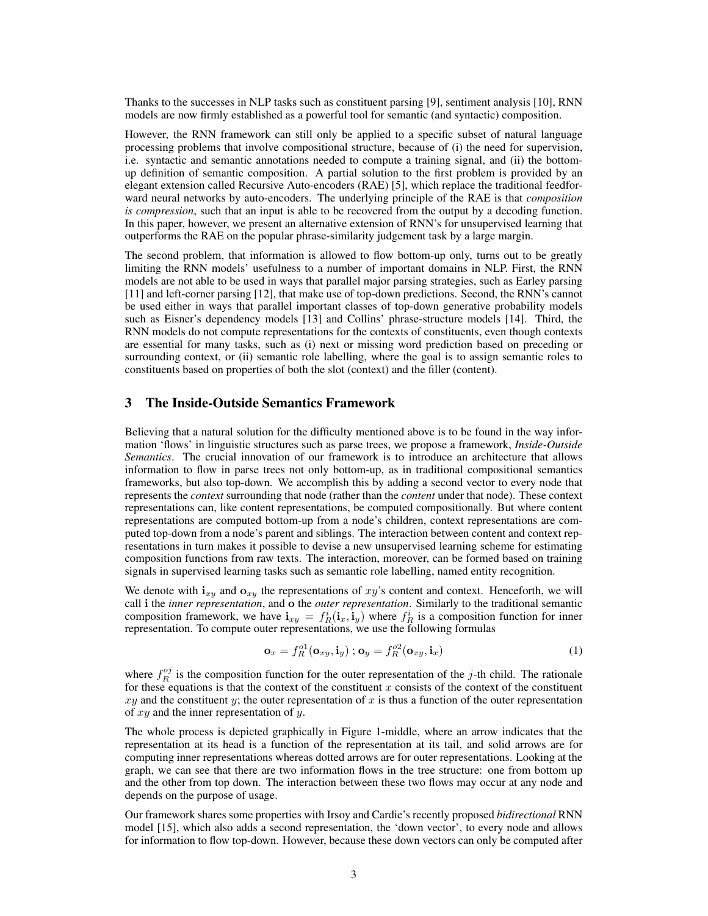Thanks to the successes in NLP tasks such as constituent parsing [9], sentiment analysis [10], RNN models are now firmly established as a powerful tool for semantic (and syntactic) composition.

However, the RNN framework can still only be applied to a specific subset of natural language processing problems that involve compositional structure, because of (i) the need for supervision, i.e. syntactic and semantic annotations needed to compute a training signal, and (ii) the bottomup definition of semantic composition. A partial solution to the first problem is provided by an elegant extension called Recursive Auto-encoders (RAE) [5], which replace the traditional feedforward neural networks by auto-encoders. The underlying principle of the RAE is that *composition is compression*, such that an input is able to be recovered from the output by a decoding function. In this paper, however, we present an alternative extension of RNN's for unsupervised learning that outperforms the RAE on the popular phrase-similarity judgement task by a large margin.

The second problem, that information is allowed to flow bottom-up only, turns out to be greatly limiting the RNN models' usefulness to a number of important domains in NLP. First, the RNN models are not able to be used in ways that parallel major parsing strategies, such as Earley parsing [11] and left-corner parsing [12], that make use of top-down predictions. Second, the RNN's cannot be used either in ways that parallel important classes of top-down generative probability models such as Eisner's dependency models [13] and Collins' phrase-structure models [14]. Third, the RNN models do not compute representations for the contexts of constituents, even though contexts are essential for many tasks, such as (i) next or missing word prediction based on preceding or surrounding context, or (ii) semantic role labelling, where the goal is to assign semantic roles to constituents based on properties of both the slot (context) and the filler (content).

## 3 The Inside-Outside Semantics Framework

Believing that a natural solution for the difficulty mentioned above is to be found in the way information 'flows' in linguistic structures such as parse trees, we propose a framework, *Inside-Outside Semantics*. The crucial innovation of our framework is to introduce an architecture that allows information to flow in parse trees not only bottom-up, as in traditional compositional semantics frameworks, but also top-down. We accomplish this by adding a second vector to every node that represents the *context* surrounding that node (rather than the *content* under that node). These context representations can, like content representations, be computed compositionally. But where content representations are computed bottom-up from a node's children, context representations are computed top-down from a node's parent and siblings. The interaction between content and context representations in turn makes it possible to devise a new unsupervised learning scheme for estimating composition functions from raw texts. The interaction, moreover, can be formed based on training signals in supervised learning tasks such as semantic role labelling, named entity recognition.

We denote with  $i_{xy}$  and  $o_{xy}$  the representations of xy's content and context. Henceforth, we will call i the *inner representation*, and o the *outer representation*. Similarly to the traditional semantic composition framework, we have  $\mathbf{i}_{xy} = f_R^i(\mathbf{i}_x, \mathbf{i}_y)$  where  $f_R^i$  is a composition function for inner representation. To compute outer representations, we use the following formulas

$$
\mathbf{o}_x = f_R^{o1}(\mathbf{o}_{xy}, \mathbf{i}_y) ; \mathbf{o}_y = f_R^{o2}(\mathbf{o}_{xy}, \mathbf{i}_x)
$$
 (1)

where  $f_R^{oj}$  is the composition function for the outer representation of the j-th child. The rationale for these equations is that the context of the constituent  $x$  consists of the context of the constituent  $xy$  and the constituent y; the outer representation of x is thus a function of the outer representation of  $xy$  and the inner representation of  $y$ .

The whole process is depicted graphically in Figure 1-middle, where an arrow indicates that the representation at its head is a function of the representation at its tail, and solid arrows are for computing inner representations whereas dotted arrows are for outer representations. Looking at the graph, we can see that there are two information flows in the tree structure: one from bottom up and the other from top down. The interaction between these two flows may occur at any node and depends on the purpose of usage.

Our framework shares some properties with Irsoy and Cardie's recently proposed *bidirectional* RNN model [15], which also adds a second representation, the 'down vector', to every node and allows for information to flow top-down. However, because these down vectors can only be computed after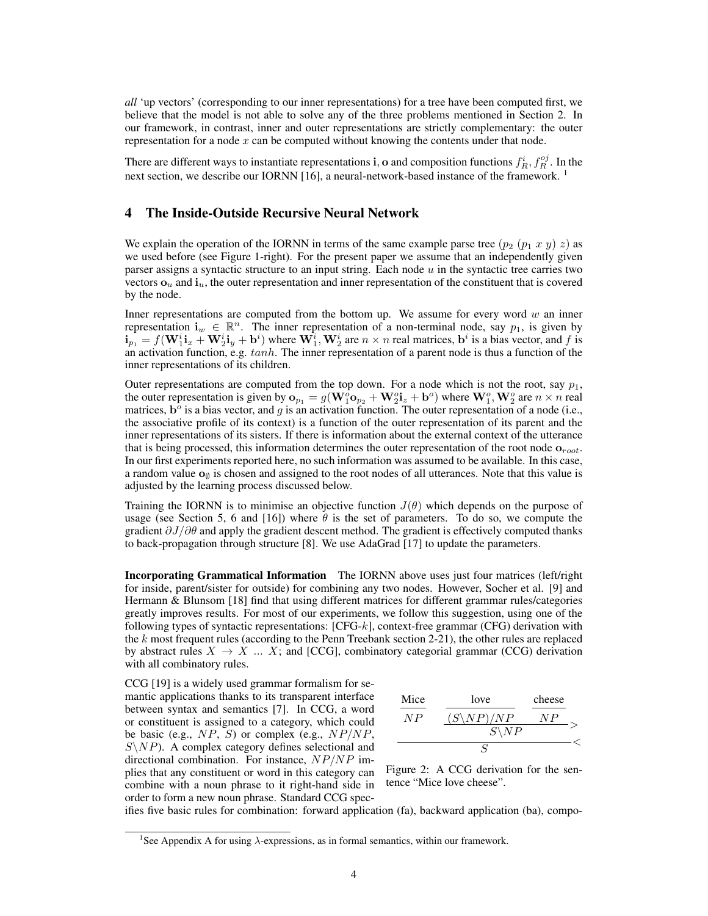*all* 'up vectors' (corresponding to our inner representations) for a tree have been computed first, we believe that the model is not able to solve any of the three problems mentioned in Section 2. In our framework, in contrast, inner and outer representations are strictly complementary: the outer representation for a node  $x$  can be computed without knowing the contents under that node.

There are different ways to instantiate representations **i**, **o** and composition functions  $f_R^i, f_R^{oj}$ . In the next section, we describe our IORNN [16], a neural-network-based instance of the framework.  $1$ 

## 4 The Inside-Outside Recursive Neural Network

We explain the operation of the IORNN in terms of the same example parse tree  $(p_2 (p_1 x y) z)$  as we used before (see Figure 1-right). For the present paper we assume that an independently given parser assigns a syntactic structure to an input string. Each node  $u$  in the syntactic tree carries two vectors  $\mathbf{o}_u$  and  $\mathbf{i}_u$ , the outer representation and inner representation of the constituent that is covered by the node.

Inner representations are computed from the bottom up. We assume for every word  $w$  an inner representation  $\mathbf{i}_w \in \mathbb{R}^n$ . The inner representation of a non-terminal node, say  $p_1$ , is given by  $\mathbf{i}_{p_1} = f(\mathbf{W}_1^i \mathbf{i}_x + \mathbf{W}_2^i \mathbf{i}_y + \mathbf{b}^i)$  where  $\mathbf{W}_1^i$ ,  $\mathbf{W}_2^i$  are  $n \times n$  real matrices,  $\mathbf{b}^i$  is a bias vector, and f is an activation function, e.g. tanh. The inner representation of a parent node is thus a function of the inner representations of its children.

Outer representations are computed from the top down. For a node which is not the root, say  $p_1$ , the outer representation is given by  $o_{p_1} = g(W_1^o o_{p_2} + W_2^o i_z + b^o)$  where  $W_1^o$ ,  $W_2^o$  are  $n \times n$  real matrices,  $\mathbf{b}^{\circ}$  is a bias vector, and g is an activation function. The outer representation of a node (i.e., the associative profile of its context) is a function of the outer representation of its parent and the inner representations of its sisters. If there is information about the external context of the utterance that is being processed, this information determines the outer representation of the root node  $\mathbf{o}_{root}$ . In our first experiments reported here, no such information was assumed to be available. In this case, a random value  $\mathbf{o}_\emptyset$  is chosen and assigned to the root nodes of all utterances. Note that this value is adjusted by the learning process discussed below.

Training the IORNN is to minimise an objective function  $J(\theta)$  which depends on the purpose of usage (see Section 5, 6 and [16]) where  $\theta$  is the set of parameters. To do so, we compute the gradient  $\partial J/\partial \theta$  and apply the gradient descent method. The gradient is effectively computed thanks to back-propagation through structure [8]. We use AdaGrad [17] to update the parameters.

Incorporating Grammatical Information The IORNN above uses just four matrices (left/right for inside, parent/sister for outside) for combining any two nodes. However, Socher et al. [9] and Hermann & Blunsom [18] find that using different matrices for different grammar rules/categories greatly improves results. For most of our experiments, we follow this suggestion, using one of the following types of syntactic representations:  $[CFG-k]$ , context-free grammar (CFG) derivation with the k most frequent rules (according to the Penn Treebank section 2-21), the other rules are replaced by abstract rules  $X \to X$  ... X; and [CCG], combinatory categorial grammar (CCG) derivation with all combinatory rules.

CCG [19] is a widely used grammar formalism for semantic applications thanks to its transparent interface between syntax and semantics [7]. In CCG, a word or constituent is assigned to a category, which could be basic (e.g.,  $NP$ , S) or complex (e.g.,  $NP/NP$ ,  $S\setminus NP$ ). A complex category defines selectional and directional combination. For instance,  $NP/NP$  implies that any constituent or word in this category can combine with a noun phrase to it right-hand side in order to form a new noun phrase. Standard CCG spec-



Figure 2: A CCG derivation for the sentence "Mice love cheese".

ifies five basic rules for combination: forward application (fa), backward application (ba), compo-

<sup>&</sup>lt;sup>1</sup>See Appendix A for using  $\lambda$ -expressions, as in formal semantics, within our framework.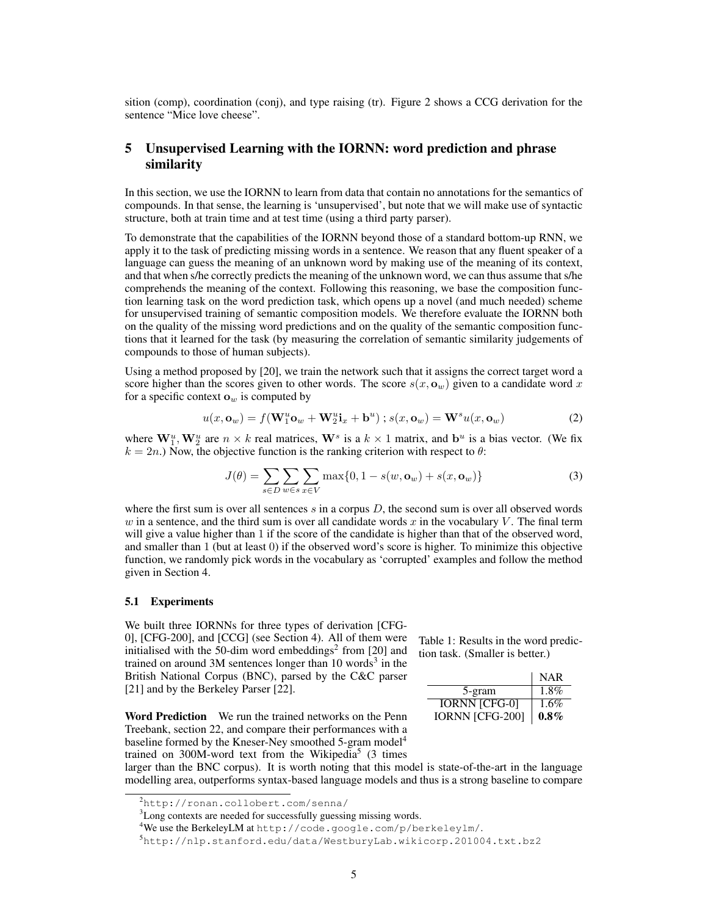sition (comp), coordination (conj), and type raising (tr). Figure 2 shows a CCG derivation for the sentence "Mice love cheese".

# 5 Unsupervised Learning with the IORNN: word prediction and phrase similarity

In this section, we use the IORNN to learn from data that contain no annotations for the semantics of compounds. In that sense, the learning is 'unsupervised', but note that we will make use of syntactic structure, both at train time and at test time (using a third party parser).

To demonstrate that the capabilities of the IORNN beyond those of a standard bottom-up RNN, we apply it to the task of predicting missing words in a sentence. We reason that any fluent speaker of a language can guess the meaning of an unknown word by making use of the meaning of its context, and that when s/he correctly predicts the meaning of the unknown word, we can thus assume that s/he comprehends the meaning of the context. Following this reasoning, we base the composition function learning task on the word prediction task, which opens up a novel (and much needed) scheme for unsupervised training of semantic composition models. We therefore evaluate the IORNN both on the quality of the missing word predictions and on the quality of the semantic composition functions that it learned for the task (by measuring the correlation of semantic similarity judgements of compounds to those of human subjects).

Using a method proposed by [20], we train the network such that it assigns the correct target word a score higher than the scores given to other words. The score  $s(x, \mathbf{o}_w)$  given to a candidate word x for a specific context  $\mathbf{o}_w$  is computed by

$$
u(x, \mathbf{o}_w) = f(\mathbf{W}_1^u \mathbf{o}_w + \mathbf{W}_2^u \mathbf{i}_x + \mathbf{b}^u) ; s(x, \mathbf{o}_w) = \mathbf{W}^s u(x, \mathbf{o}_w)
$$
 (2)

where  $W_1^u$ ,  $W_2^u$  are  $n \times k$  real matrices,  $W^s$  is a  $k \times 1$  matrix, and  $b^u$  is a bias vector. (We fix  $k = 2n$ .) Now, the objective function is the ranking criterion with respect to  $\theta$ :

$$
J(\theta) = \sum_{s \in D} \sum_{w \in s} \sum_{x \in V} \max\{0, 1 - s(w, \mathbf{o}_w) + s(x, \mathbf{o}_w)\}\tag{3}
$$

where the first sum is over all sentences  $s$  in a corpus  $D$ , the second sum is over all observed words w in a sentence, and the third sum is over all candidate words x in the vocabulary  $V$ . The final term will give a value higher than 1 if the score of the candidate is higher than that of the observed word, and smaller than 1 (but at least 0) if the observed word's score is higher. To minimize this objective function, we randomly pick words in the vocabulary as 'corrupted' examples and follow the method given in Section 4.

#### 5.1 Experiments

We built three IORNNs for three types of derivation [CFG-0], [CFG-200], and [CCG] (see Section 4). All of them were initialised with the 50-dim word embeddings<sup>2</sup> from [20] and trained on around 3M sentences longer than 10 words<sup>3</sup> in the British National Corpus (BNC), parsed by the C&C parser [21] and by the Berkeley Parser [22].

Word Prediction We run the trained networks on the Penn Treebank, section 22, and compare their performances with a baseline formed by the Kneser-Ney smoothed 5-gram model<sup>4</sup> trained on 300M-word text from the Wikipedia<sup>5</sup> (3 times

Table 1: Results in the word prediction task. (Smaller is better.)

|                        | <b>NAR</b> |
|------------------------|------------|
| 5-gram                 | $1.8\%$    |
| <b>IORNN [CFG-0]</b>   | 1.6%       |
| <b>IORNN [CFG-200]</b> | $0.8\%$    |

larger than the BNC corpus). It is worth noting that this model is state-of-the-art in the language modelling area, outperforms syntax-based language models and thus is a strong baseline to compare

<sup>2</sup>http://ronan.collobert.com/senna/

<sup>3</sup>Long contexts are needed for successfully guessing missing words.

<sup>4</sup>We use the BerkeleyLM at http://code.google.com/p/berkeleylm/.

<sup>5</sup>http://nlp.stanford.edu/data/WestburyLab.wikicorp.201004.txt.bz2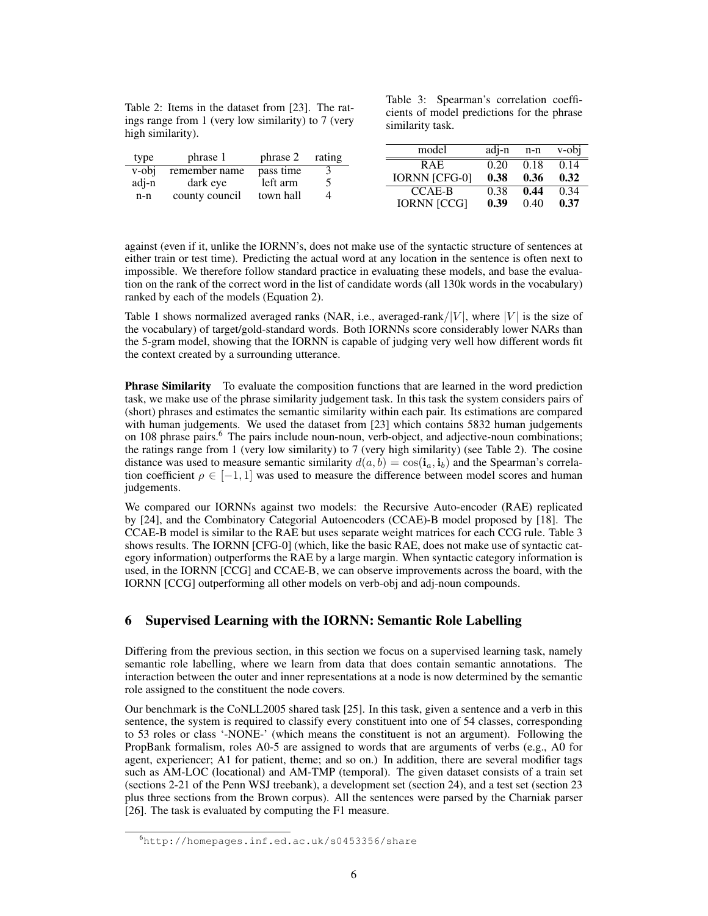Table 2: Items in the dataset from [23]. The ratings range from 1 (very low similarity) to 7 (very high similarity).

Table 3: Spearman's correlation coefficients of model predictions for the phrase similarity task.

| type  | phrase 1       | phrase 2  | rating | model                | adi-n | n-n  | v-obi |
|-------|----------------|-----------|--------|----------------------|-------|------|-------|
|       |                |           |        | <b>RAE</b>           | 0.20  | 0.18 | 0.14  |
| v-obi | remember name  | pass time |        |                      |       |      |       |
|       |                |           |        | <b>IORNN ICFG-01</b> | 0.38  | 0.36 | 0.32  |
| adj-n | dark eye       | left arm  |        |                      |       |      |       |
|       |                |           |        | CCAE-B               | 0.38  | 0.44 | 0.34  |
| n-n   | county council | town hall |        |                      |       |      |       |
|       |                |           |        | <b>IORNN [CCG]</b>   | 0.39  | 0.40 | 0.37  |
|       |                |           |        |                      |       |      |       |

against (even if it, unlike the IORNN's, does not make use of the syntactic structure of sentences at either train or test time). Predicting the actual word at any location in the sentence is often next to impossible. We therefore follow standard practice in evaluating these models, and base the evaluation on the rank of the correct word in the list of candidate words (all 130k words in the vocabulary) ranked by each of the models (Equation 2).

Table 1 shows normalized averaged ranks (NAR, i.e., averaged-rank/ $|V|$ , where  $|V|$  is the size of the vocabulary) of target/gold-standard words. Both IORNNs score considerably lower NARs than the 5-gram model, showing that the IORNN is capable of judging very well how different words fit the context created by a surrounding utterance.

**Phrase Similarity** To evaluate the composition functions that are learned in the word prediction task, we make use of the phrase similarity judgement task. In this task the system considers pairs of (short) phrases and estimates the semantic similarity within each pair. Its estimations are compared with human judgements. We used the dataset from [23] which contains 5832 human judgements on 108 phrase pairs.<sup>6</sup> The pairs include noun-noun, verb-object, and adjective-noun combinations; the ratings range from 1 (very low similarity) to 7 (very high similarity) (see Table 2). The cosine distance was used to measure semantic similarity  $d(a, b) = \cos(i_a, i_b)$  and the Spearman's correlation coefficient  $\rho \in [-1, 1]$  was used to measure the difference between model scores and human judgements.

We compared our IORNNs against two models: the Recursive Auto-encoder (RAE) replicated by [24], and the Combinatory Categorial Autoencoders (CCAE)-B model proposed by [18]. The CCAE-B model is similar to the RAE but uses separate weight matrices for each CCG rule. Table 3 shows results. The IORNN [CFG-0] (which, like the basic RAE, does not make use of syntactic category information) outperforms the RAE by a large margin. When syntactic category information is used, in the IORNN [CCG] and CCAE-B, we can observe improvements across the board, with the IORNN [CCG] outperforming all other models on verb-obj and adj-noun compounds.

# 6 Supervised Learning with the IORNN: Semantic Role Labelling

Differing from the previous section, in this section we focus on a supervised learning task, namely semantic role labelling, where we learn from data that does contain semantic annotations. The interaction between the outer and inner representations at a node is now determined by the semantic role assigned to the constituent the node covers.

Our benchmark is the CoNLL2005 shared task [25]. In this task, given a sentence and a verb in this sentence, the system is required to classify every constituent into one of 54 classes, corresponding to 53 roles or class '-NONE-' (which means the constituent is not an argument). Following the PropBank formalism, roles A0-5 are assigned to words that are arguments of verbs (e.g., A0 for agent, experiencer; A1 for patient, theme; and so on.) In addition, there are several modifier tags such as AM-LOC (locational) and AM-TMP (temporal). The given dataset consists of a train set (sections 2-21 of the Penn WSJ treebank), a development set (section 24), and a test set (section 23 plus three sections from the Brown corpus). All the sentences were parsed by the Charniak parser [26]. The task is evaluated by computing the F1 measure.

<sup>6</sup>http://homepages.inf.ed.ac.uk/s0453356/share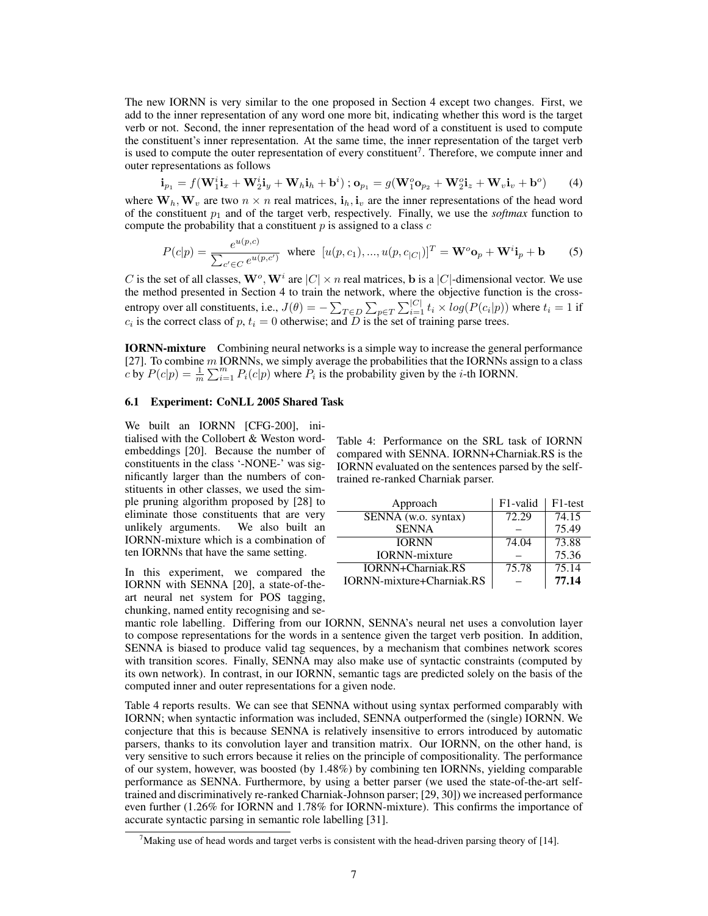The new IORNN is very similar to the one proposed in Section 4 except two changes. First, we add to the inner representation of any word one more bit, indicating whether this word is the target verb or not. Second, the inner representation of the head word of a constituent is used to compute the constituent's inner representation. At the same time, the inner representation of the target verb is used to compute the outer representation of every constituent<sup>7</sup>. Therefore, we compute inner and outer representations as follows

$$
\mathbf{i}_{p_1} = f(\mathbf{W}_1^i \mathbf{i}_x + \mathbf{W}_2^i \mathbf{i}_y + \mathbf{W}_h \mathbf{i}_h + \mathbf{b}^i) ; \mathbf{o}_{p_1} = g(\mathbf{W}_1^o \mathbf{o}_{p_2} + \mathbf{W}_2^o \mathbf{i}_z + \mathbf{W}_v \mathbf{i}_v + \mathbf{b}^o) \tag{4}
$$

where  $W_h, W_v$  are two  $n \times n$  real matrices,  $i_h, i_v$  are the inner representations of the head word of the constituent  $p_1$  and of the target verb, respectively. Finally, we use the *softmax* function to compute the probability that a constituent  $p$  is assigned to a class  $c$ 

$$
P(c|p) = \frac{e^{u(p,c)}}{\sum_{c' \in C} e^{u(p,c')}} \text{ where } [u(p,c_1),...,u(p,c_{|C|})]^T = \mathbf{W}^o \mathbf{o}_p + \mathbf{W}^i \mathbf{i}_p + \mathbf{b} \qquad (5)
$$

C is the set of all classes,  $\mathbf{W}^o$ ,  $\mathbf{W}^i$  are  $|C| \times n$  real matrices, b is a  $|C|$ -dimensional vector. We use the method presented in Section 4 to train the network, where the objective function is the crossentropy over all constituents, i.e.,  $J(\theta) = -\sum_{T \in D} \sum_{p \in T} \sum_{i=1}^{|C|} t_i \times log(P(c_i|p))$  where  $t_i = 1$  if  $c_i$  is the correct class of p,  $t_i = 0$  otherwise; and D is the set of training parse trees.

IORNN-mixture Combining neural networks is a simple way to increase the general performance [27]. To combine  $m$  IORNNs, we simply average the probabilities that the IORNNs assign to a class c by  $P(c|p) = \frac{1}{m} \sum_{i=1}^{m} P_i(c|p)$  where  $P_i$  is the probability given by the *i*-th IORNN.

#### 6.1 Experiment: CoNLL 2005 Shared Task

We built an IORNN [CFG-200], initialised with the Collobert & Weston wordembeddings [20]. Because the number of constituents in the class '-NONE-' was significantly larger than the numbers of constituents in other classes, we used the simple pruning algorithm proposed by [28] to eliminate those constituents that are very unlikely arguments. We also built an IORNN-mixture which is a combination of ten IORNNs that have the same setting.

In this experiment, we compared the IORNN with SENNA [20], a state-of-theart neural net system for POS tagging, chunking, named entity recognising and seTable 4: Performance on the SRL task of IORNN compared with SENNA. IORNN+Charniak.RS is the IORNN evaluated on the sentences parsed by the selftrained re-ranked Charniak parser.

| Approach                  | F <sub>1</sub> -valid | F <sub>1</sub> -test |
|---------------------------|-----------------------|----------------------|
| SENNA (w.o. syntax)       | 72.29                 | 74.15                |
| <b>SENNA</b>              |                       | 75.49                |
| <b>IORNN</b>              | 74.04                 | 73.88                |
| <b>IORNN-mixture</b>      |                       | 75.36                |
| <b>IORNN+Charniak.RS</b>  | 75.78                 | 75.14                |
| IORNN-mixture+Charniak.RS |                       | 77.14                |

mantic role labelling. Differing from our IORNN, SENNA's neural net uses a convolution layer to compose representations for the words in a sentence given the target verb position. In addition, SENNA is biased to produce valid tag sequences, by a mechanism that combines network scores with transition scores. Finally, SENNA may also make use of syntactic constraints (computed by its own network). In contrast, in our IORNN, semantic tags are predicted solely on the basis of the computed inner and outer representations for a given node.

Table 4 reports results. We can see that SENNA without using syntax performed comparably with IORNN; when syntactic information was included, SENNA outperformed the (single) IORNN. We conjecture that this is because SENNA is relatively insensitive to errors introduced by automatic parsers, thanks to its convolution layer and transition matrix. Our IORNN, on the other hand, is very sensitive to such errors because it relies on the principle of compositionality. The performance of our system, however, was boosted (by 1.48%) by combining ten IORNNs, yielding comparable performance as SENNA. Furthermore, by using a better parser (we used the state-of-the-art selftrained and discriminatively re-ranked Charniak-Johnson parser; [29, 30]) we increased performance even further (1.26% for IORNN and 1.78% for IORNN-mixture). This confirms the importance of accurate syntactic parsing in semantic role labelling [31].

 $7$ Making use of head words and target verbs is consistent with the head-driven parsing theory of [14].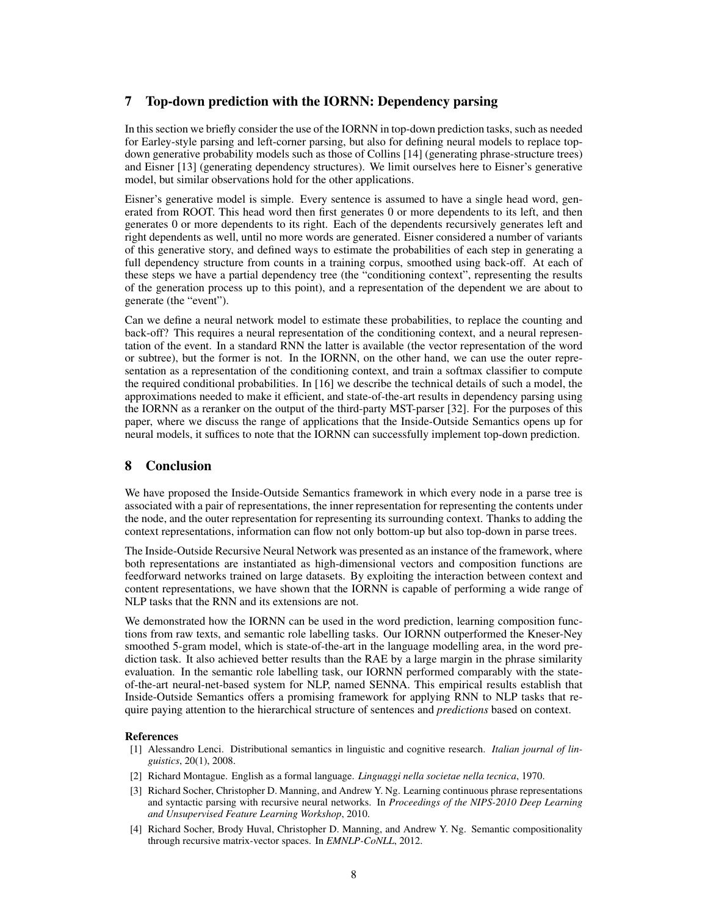# 7 Top-down prediction with the IORNN: Dependency parsing

In this section we briefly consider the use of the IORNN in top-down prediction tasks, such as needed for Earley-style parsing and left-corner parsing, but also for defining neural models to replace topdown generative probability models such as those of Collins [14] (generating phrase-structure trees) and Eisner [13] (generating dependency structures). We limit ourselves here to Eisner's generative model, but similar observations hold for the other applications.

Eisner's generative model is simple. Every sentence is assumed to have a single head word, generated from ROOT. This head word then first generates 0 or more dependents to its left, and then generates 0 or more dependents to its right. Each of the dependents recursively generates left and right dependents as well, until no more words are generated. Eisner considered a number of variants of this generative story, and defined ways to estimate the probabilities of each step in generating a full dependency structure from counts in a training corpus, smoothed using back-off. At each of these steps we have a partial dependency tree (the "conditioning context", representing the results of the generation process up to this point), and a representation of the dependent we are about to generate (the "event").

Can we define a neural network model to estimate these probabilities, to replace the counting and back-off? This requires a neural representation of the conditioning context, and a neural representation of the event. In a standard RNN the latter is available (the vector representation of the word or subtree), but the former is not. In the IORNN, on the other hand, we can use the outer representation as a representation of the conditioning context, and train a softmax classifier to compute the required conditional probabilities. In [16] we describe the technical details of such a model, the approximations needed to make it efficient, and state-of-the-art results in dependency parsing using the IORNN as a reranker on the output of the third-party MST-parser [32]. For the purposes of this paper, where we discuss the range of applications that the Inside-Outside Semantics opens up for neural models, it suffices to note that the IORNN can successfully implement top-down prediction.

# 8 Conclusion

We have proposed the Inside-Outside Semantics framework in which every node in a parse tree is associated with a pair of representations, the inner representation for representing the contents under the node, and the outer representation for representing its surrounding context. Thanks to adding the context representations, information can flow not only bottom-up but also top-down in parse trees.

The Inside-Outside Recursive Neural Network was presented as an instance of the framework, where both representations are instantiated as high-dimensional vectors and composition functions are feedforward networks trained on large datasets. By exploiting the interaction between context and content representations, we have shown that the IORNN is capable of performing a wide range of NLP tasks that the RNN and its extensions are not.

We demonstrated how the IORNN can be used in the word prediction, learning composition functions from raw texts, and semantic role labelling tasks. Our IORNN outperformed the Kneser-Ney smoothed 5-gram model, which is state-of-the-art in the language modelling area, in the word prediction task. It also achieved better results than the RAE by a large margin in the phrase similarity evaluation. In the semantic role labelling task, our IORNN performed comparably with the stateof-the-art neural-net-based system for NLP, named SENNA. This empirical results establish that Inside-Outside Semantics offers a promising framework for applying RNN to NLP tasks that require paying attention to the hierarchical structure of sentences and *predictions* based on context.

## References

- [1] Alessandro Lenci. Distributional semantics in linguistic and cognitive research. *Italian journal of linguistics*, 20(1), 2008.
- [2] Richard Montague. English as a formal language. *Linguaggi nella societae nella tecnica*, 1970.
- [3] Richard Socher, Christopher D. Manning, and Andrew Y. Ng. Learning continuous phrase representations and syntactic parsing with recursive neural networks. In *Proceedings of the NIPS-2010 Deep Learning and Unsupervised Feature Learning Workshop*, 2010.
- [4] Richard Socher, Brody Huval, Christopher D. Manning, and Andrew Y. Ng. Semantic compositionality through recursive matrix-vector spaces. In *EMNLP-CoNLL*, 2012.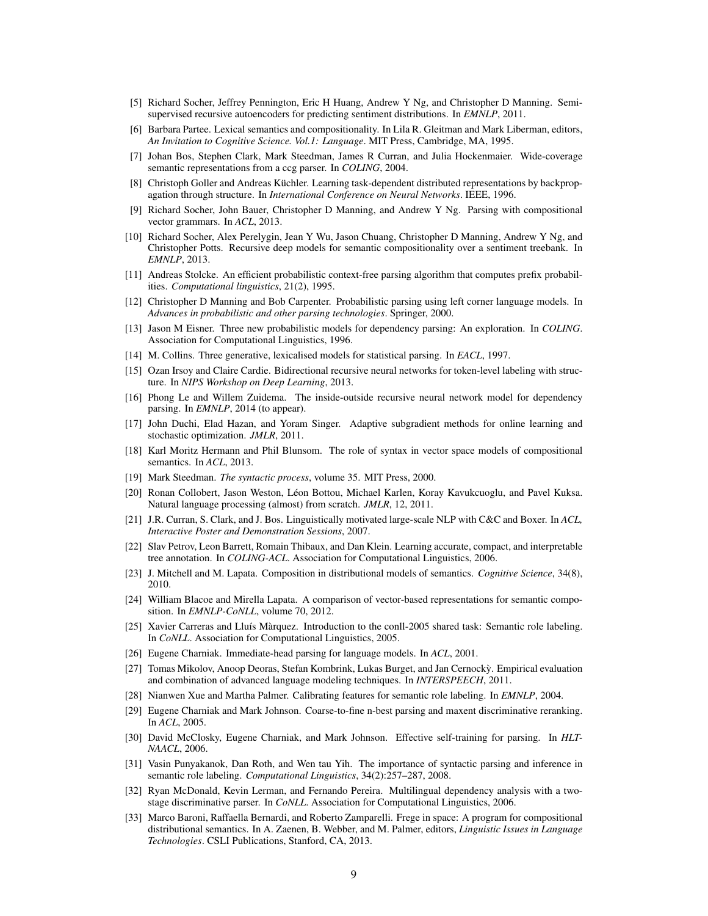- [5] Richard Socher, Jeffrey Pennington, Eric H Huang, Andrew Y Ng, and Christopher D Manning. Semisupervised recursive autoencoders for predicting sentiment distributions. In *EMNLP*, 2011.
- [6] Barbara Partee. Lexical semantics and compositionality. In Lila R. Gleitman and Mark Liberman, editors, *An Invitation to Cognitive Science. Vol.1: Language*. MIT Press, Cambridge, MA, 1995.
- [7] Johan Bos, Stephen Clark, Mark Steedman, James R Curran, and Julia Hockenmaier. Wide-coverage semantic representations from a ccg parser. In *COLING*, 2004.
- [8] Christoph Goller and Andreas Küchler. Learning task-dependent distributed representations by backpropagation through structure. In *International Conference on Neural Networks*. IEEE, 1996.
- [9] Richard Socher, John Bauer, Christopher D Manning, and Andrew Y Ng. Parsing with compositional vector grammars. In *ACL*, 2013.
- [10] Richard Socher, Alex Perelygin, Jean Y Wu, Jason Chuang, Christopher D Manning, Andrew Y Ng, and Christopher Potts. Recursive deep models for semantic compositionality over a sentiment treebank. In *EMNLP*, 2013.
- [11] Andreas Stolcke. An efficient probabilistic context-free parsing algorithm that computes prefix probabilities. *Computational linguistics*, 21(2), 1995.
- [12] Christopher D Manning and Bob Carpenter. Probabilistic parsing using left corner language models. In *Advances in probabilistic and other parsing technologies*. Springer, 2000.
- [13] Jason M Eisner. Three new probabilistic models for dependency parsing: An exploration. In *COLING*. Association for Computational Linguistics, 1996.
- [14] M. Collins. Three generative, lexicalised models for statistical parsing. In *EACL*, 1997.
- [15] Ozan Irsoy and Claire Cardie. Bidirectional recursive neural networks for token-level labeling with structure. In *NIPS Workshop on Deep Learning*, 2013.
- [16] Phong Le and Willem Zuidema. The inside-outside recursive neural network model for dependency parsing. In *EMNLP*, 2014 (to appear).
- [17] John Duchi, Elad Hazan, and Yoram Singer. Adaptive subgradient methods for online learning and stochastic optimization. *JMLR*, 2011.
- [18] Karl Moritz Hermann and Phil Blunsom. The role of syntax in vector space models of compositional semantics. In *ACL*, 2013.
- [19] Mark Steedman. *The syntactic process*, volume 35. MIT Press, 2000.
- [20] Ronan Collobert, Jason Weston, Leon Bottou, Michael Karlen, Koray Kavukcuoglu, and Pavel Kuksa. ´ Natural language processing (almost) from scratch. *JMLR*, 12, 2011.
- [21] J.R. Curran, S. Clark, and J. Bos. Linguistically motivated large-scale NLP with C&C and Boxer. In *ACL, Interactive Poster and Demonstration Sessions*, 2007.
- [22] Slav Petrov, Leon Barrett, Romain Thibaux, and Dan Klein. Learning accurate, compact, and interpretable tree annotation. In *COLING-ACL*. Association for Computational Linguistics, 2006.
- [23] J. Mitchell and M. Lapata. Composition in distributional models of semantics. *Cognitive Science*, 34(8), 2010.
- [24] William Blacoe and Mirella Lapata. A comparison of vector-based representations for semantic composition. In *EMNLP-CoNLL*, volume 70, 2012.
- [25] Xavier Carreras and Lluís Màrquez. Introduction to the conll-2005 shared task: Semantic role labeling. In *CoNLL*. Association for Computational Linguistics, 2005.
- [26] Eugene Charniak. Immediate-head parsing for language models. In *ACL*, 2001.
- [27] Tomas Mikolov, Anoop Deoras, Stefan Kombrink, Lukas Burget, and Jan Cernocky. Empirical evaluation ` and combination of advanced language modeling techniques. In *INTERSPEECH*, 2011.
- [28] Nianwen Xue and Martha Palmer. Calibrating features for semantic role labeling. In *EMNLP*, 2004.
- [29] Eugene Charniak and Mark Johnson. Coarse-to-fine n-best parsing and maxent discriminative reranking. In *ACL*, 2005.
- [30] David McClosky, Eugene Charniak, and Mark Johnson. Effective self-training for parsing. In *HLT-NAACL*, 2006.
- [31] Vasin Punyakanok, Dan Roth, and Wen tau Yih. The importance of syntactic parsing and inference in semantic role labeling. *Computational Linguistics*, 34(2):257–287, 2008.
- [32] Ryan McDonald, Kevin Lerman, and Fernando Pereira. Multilingual dependency analysis with a twostage discriminative parser. In *CoNLL*. Association for Computational Linguistics, 2006.
- [33] Marco Baroni, Raffaella Bernardi, and Roberto Zamparelli. Frege in space: A program for compositional distributional semantics. In A. Zaenen, B. Webber, and M. Palmer, editors, *Linguistic Issues in Language Technologies*. CSLI Publications, Stanford, CA, 2013.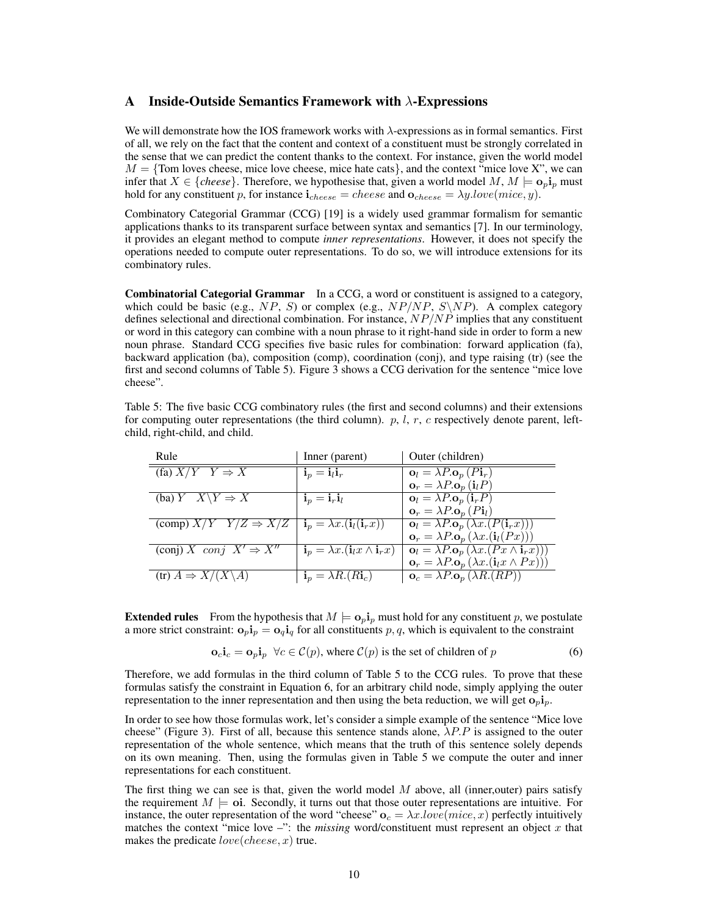## A Inside-Outside Semantics Framework with  $\lambda$ -Expressions

We will demonstrate how the IOS framework works with  $\lambda$ -expressions as in formal semantics. First of all, we rely on the fact that the content and context of a constituent must be strongly correlated in the sense that we can predict the content thanks to the context. For instance, given the world model  $M = \{Tom \text{ loves cheese}, \text{ mice love cheese}, \text{ mice hate cats}\}, \text{and the context "mice love X", we can}$ infer that  $X \in \{cheese\}$ . Therefore, we hypothesise that, given a world model M,  $M \models o_p i_p$  must hold for any constituent p, for instance  $\mathbf{i}_{cheese} = cheese$  and  $\mathbf{o}_{cheese} = \lambda y.lower(mice, y)$ .

Combinatory Categorial Grammar (CCG) [19] is a widely used grammar formalism for semantic applications thanks to its transparent surface between syntax and semantics [7]. In our terminology, it provides an elegant method to compute *inner representations*. However, it does not specify the operations needed to compute outer representations. To do so, we will introduce extensions for its combinatory rules.

Combinatorial Categorial Grammar In a CCG, a word or constituent is assigned to a category, which could be basic (e.g., NP, S) or complex (e.g.,  $NP/NP$ ,  $S\NPP$ ). A complex category defines selectional and directional combination. For instance,  $NP/NP$  implies that any constituent or word in this category can combine with a noun phrase to it right-hand side in order to form a new noun phrase. Standard CCG specifies five basic rules for combination: forward application (fa), backward application (ba), composition (comp), coordination (conj), and type raising (tr) (see the first and second columns of Table 5). Figure 3 shows a CCG derivation for the sentence "mice love cheese".

Table 5: The five basic CCG combinatory rules (the first and second columns) and their extensions for computing outer representations (the third column).  $p$ ,  $l$ ,  $r$ ,  $c$  respectively denote parent, leftchild, right-child, and child.

| Rule                                                                                                      | Inner (parent)                                                      | Outer (children)                                                                                    |
|-----------------------------------------------------------------------------------------------------------|---------------------------------------------------------------------|-----------------------------------------------------------------------------------------------------|
| (fa) $X/Y$ $Y \Rightarrow X$                                                                              | $\mathbf{i}_p = \mathbf{i}_l \mathbf{i}_r$                          | $\mathbf{o}_l = \lambda P \cdot \mathbf{o}_p(P\mathbf{i}_r)$                                        |
|                                                                                                           |                                                                     | $\mathbf{o}_r = \lambda P \cdot \mathbf{o}_p \left( \mathbf{i}_l P \right)$                         |
| (ba) $Y \tX \ Y \Rightarrow X$                                                                            | $\mathbf{i}_p = \mathbf{i}_r \mathbf{i}_l$                          | $\mathbf{o}_l = \lambda P \cdot \mathbf{o}_p \left( \mathbf{i}_r P \right)$                         |
|                                                                                                           |                                                                     | $\mathbf{o}_r = \lambda P \cdot \mathbf{o}_p(P\mathbf{i}_l)$                                        |
| (comp) $X/Y$ $Y/Z \Rightarrow \overline{X/Z}$   $\mathbf{i}_p = \lambda x.(\mathbf{i}_l(\mathbf{i}_r x))$ |                                                                     | $\mathbf{o}_l = \lambda P \cdot \mathbf{o}_p \left( \lambda x . (P(\mathbf{i}_r x))) \right)$       |
|                                                                                                           |                                                                     | $\mathbf{o}_r = \lambda P \cdot \mathbf{o}_p (\lambda x . (\mathbf{i}_l(Px)))$                      |
| (conj) X conj $X' \Rightarrow X''$                                                                        | $\mathbf{i}_p = \lambda x . (\mathbf{i}_l x \wedge \mathbf{i}_r x)$ | $\mathbf{o}_l = \lambda P \cdot \mathbf{o}_p \left( \lambda x . (Px \wedge \mathbf{i}_r x) \right)$ |
|                                                                                                           |                                                                     | $\mathbf{o}_r = \lambda P \cdot \mathbf{o}_p (\lambda x . (\mathbf{i}_l x \wedge Px))$              |
| $\overline{(tr) A} \Rightarrow X/(X \backslash A)$                                                        | $\mathbf{i}_p = \lambda R.(R\mathbf{i}_c)$                          | $\mathbf{o}_c = \lambda P \cdot \mathbf{o}_p (\lambda R.(RP))$                                      |
|                                                                                                           |                                                                     |                                                                                                     |

**Extended rules** From the hypothesis that  $M \models \mathbf{o}_p \mathbf{i}_p$  must hold for any constituent p, we postulate a more strict constraint:  $\mathbf{o}_p \mathbf{i}_p = \mathbf{o}_q \mathbf{i}_q$  for all constituents p, q, which is equivalent to the constraint

$$
\mathbf{o}_c \mathbf{i}_c = \mathbf{o}_p \mathbf{i}_p \quad \forall c \in \mathcal{C}(p), \text{ where } \mathcal{C}(p) \text{ is the set of children of } p \tag{6}
$$

Therefore, we add formulas in the third column of Table 5 to the CCG rules. To prove that these formulas satisfy the constraint in Equation 6, for an arbitrary child node, simply applying the outer representation to the inner representation and then using the beta reduction, we will get  $o_p i_p$ .

In order to see how those formulas work, let's consider a simple example of the sentence "Mice love cheese" (Figure 3). First of all, because this sentence stands alone,  $\lambda P.P$  is assigned to the outer representation of the whole sentence, which means that the truth of this sentence solely depends on its own meaning. Then, using the formulas given in Table 5 we compute the outer and inner representations for each constituent.

The first thing we can see is that, given the world model  $M$  above, all (inner,outer) pairs satisfy the requirement  $M \models$  oi. Secondly, it turns out that those outer representations are intuitive. For instance, the outer representation of the word "cheese"  $\mathbf{o}_c = \lambda x. love(mice, x)$  perfectly intuitively matches the context "mice love –": the *missing* word/constituent must represent an object x that makes the predicate  $love(cheese, x)$  true.